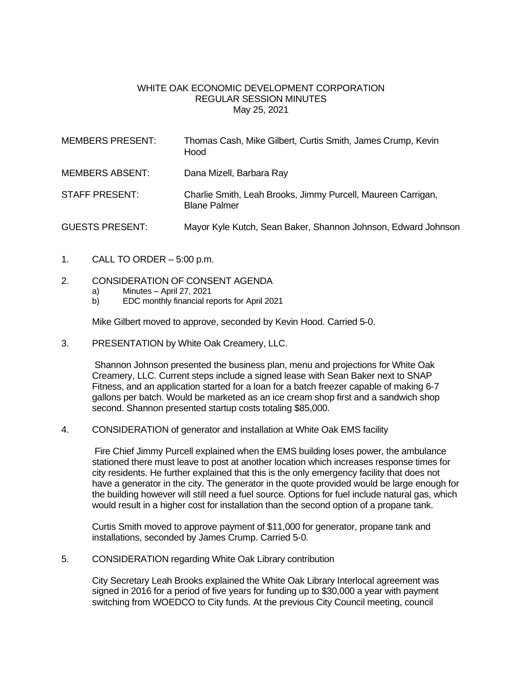## WHITE OAK ECONOMIC DEVELOPMENT CORPORATION REGULAR SESSION MINUTES May 25, 2021

| <b>MEMBERS PRESENT:</b> | Thomas Cash, Mike Gilbert, Curtis Smith, James Crump, Kevin<br>Hood                 |
|-------------------------|-------------------------------------------------------------------------------------|
| <b>MEMBERS ABSENT:</b>  | Dana Mizell, Barbara Ray                                                            |
| <b>STAFF PRESENT:</b>   | Charlie Smith, Leah Brooks, Jimmy Purcell, Maureen Carrigan,<br><b>Blane Palmer</b> |
| <b>GUESTS PRESENT:</b>  | Mayor Kyle Kutch, Sean Baker, Shannon Johnson, Edward Johnson                       |

1. CALL TO ORDER – 5:00 p.m.

## 2. CONSIDERATION OF CONSENT AGENDA

- a) Minutes April 27, 2021
- b) EDC monthly financial reports for April 2021

Mike Gilbert moved to approve, seconded by Kevin Hood. Carried 5-0.

3. PRESENTATION by White Oak Creamery, LLC.

Shannon Johnson presented the business plan, menu and projections for White Oak Creamery, LLC. Current steps include a signed lease with Sean Baker next to SNAP Fitness, and an application started for a loan for a batch freezer capable of making 6-7 gallons per batch. Would be marketed as an ice cream shop first and a sandwich shop second. Shannon presented startup costs totaling \$85,000.

4. CONSIDERATION of generator and installation at White Oak EMS facility

Fire Chief Jimmy Purcell explained when the EMS building loses power, the ambulance stationed there must leave to post at another location which increases response times for city residents. He further explained that this is the only emergency facility that does not have a generator in the city. The generator in the quote provided would be large enough for the building however will still need a fuel source. Options for fuel include natural gas, which would result in a higher cost for installation than the second option of a propane tank.

Curtis Smith moved to approve payment of \$11,000 for generator, propane tank and installations, seconded by James Crump. Carried 5-0.

5. CONSIDERATION regarding White Oak Library contribution

City Secretary Leah Brooks explained the White Oak Library Interlocal agreement was signed in 2016 for a period of five years for funding up to \$30,000 a year with payment switching from WOEDCO to City funds. At the previous City Council meeting, council